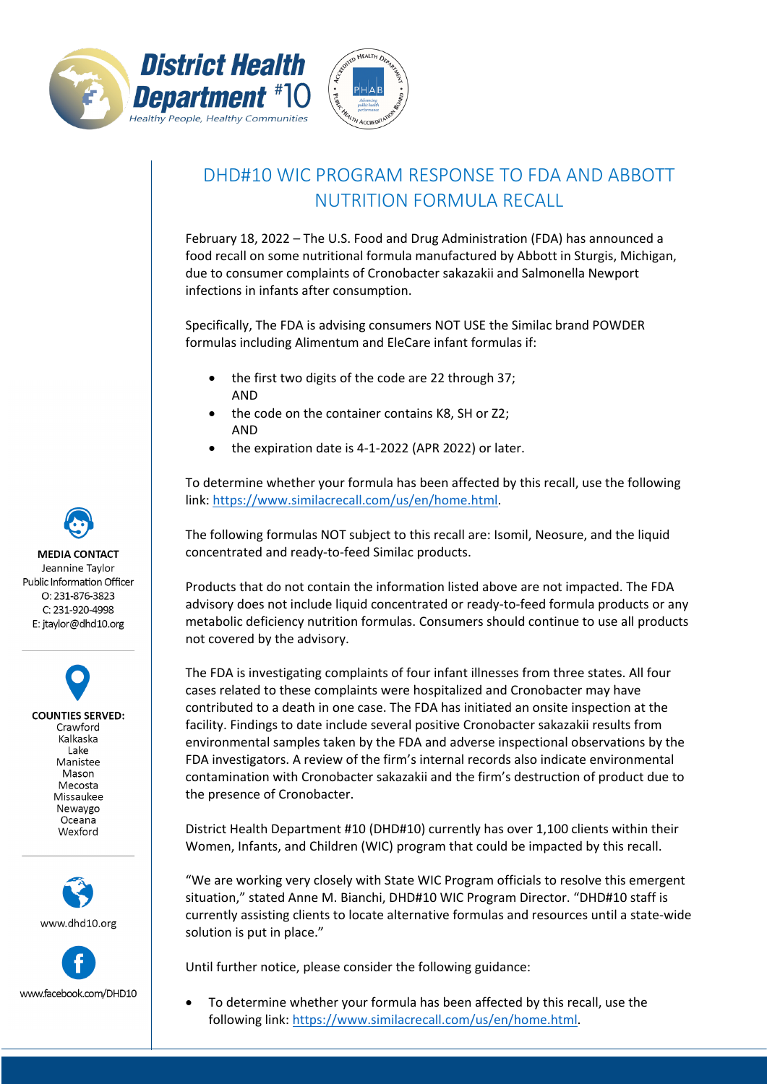



## DHD#10 WIC PROGRAM RESPONSE TO FDA AND ABBOTT NUTRITION FORMULA RECALL

February 18, 2022 – The U.S. Food and Drug Administration (FDA) has announced a food recall on some nutritional formula manufactured by Abbott in Sturgis, Michigan, due to consumer complaints of Cronobacter sakazakii and Salmonella Newport infections in infants after consumption.

Specifically, The FDA is advising consumers NOT USE the Similac brand POWDER formulas including Alimentum and EleCare infant formulas if:

- the first two digits of the code are 22 through 37; AND
- the code on the container contains K8, SH or Z2; AND
- the expiration date is 4-1-2022 (APR 2022) or later.

To determine whether your formula has been affected by this recall, use the following link: [https://www.similacrecall.com/us/en/home.html.](https://www.similacrecall.com/us/en/home.html)

The following formulas NOT subject to this recall are: Isomil, Neosure, and the liquid concentrated and ready-to-feed Similac products.

Products that do not contain the information listed above are not impacted. The FDA advisory does not include liquid concentrated or ready-to-feed formula products or any metabolic deficiency nutrition formulas. Consumers should continue to use all products not covered by the advisory.

The FDA is investigating complaints of four infant illnesses from three states. All four cases related to these complaints were hospitalized and Cronobacter may have contributed to a death in one case. The FDA has initiated an onsite inspection at the facility. Findings to date include several positive Cronobacter sakazakii results from environmental samples taken by the FDA and adverse inspectional observations by the FDA investigators. A review of the firm's internal records also indicate environmental contamination with Cronobacter sakazakii and the firm's destruction of product due to the presence of Cronobacter.

District Health Department #10 (DHD#10) currently has over 1,100 clients within their Women, Infants, and Children (WIC) program that could be impacted by this recall.

"We are working very closely with State WIC Program officials to resolve this emergent situation," stated Anne M. Bianchi, DHD#10 WIC Program Director. "DHD#10 staff is currently assisting clients to locate alternative formulas and resources until a state-wide solution is put in place."

Until further notice, please consider the following guidance:

• To determine whether your formula has been affected by this recall, use the following link: [https://www.similacrecall.com/us/en/home.html.](https://www.similacrecall.com/us/en/home.html)

**MEDIA CONTACT** Jeannine Taylor Public Information Officer O: 231-876-3823 C: 231-920-4998 E: jtaylor@dhd10.org

**COUNTIES SERVED:** Crawford Kalkaska Lake Manistee Mason Mecosta Missaukee Newaygo Oceana Wexford